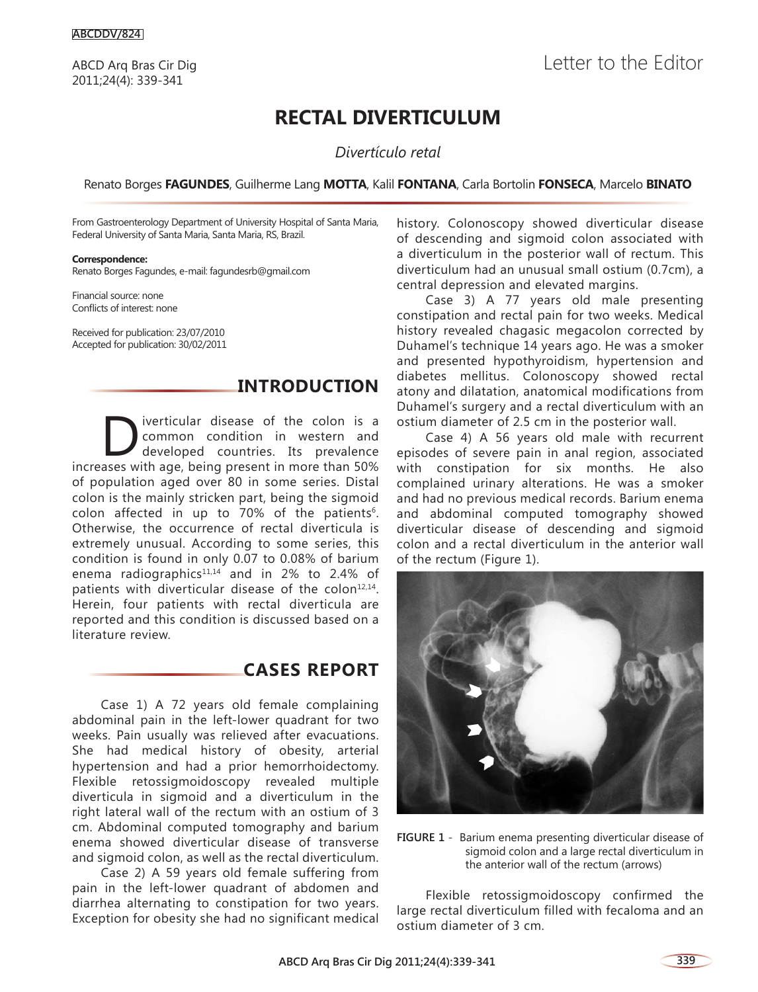# **RECTAL DIVERTICULUM**

*Divertículo retal*

#### Renato Borges **FAGUNDES**, Guilherme Lang **MOTTA**, Kalil **FONTANA**, Carla Bortolin **FONSECA**, Marcelo **BINATO**

From Gastroenterology Department of University Hospital of Santa Maria, Federal University of Santa Maria, Santa Maria, RS, Brazil.

#### **Correspondence:**

Renato Borges Fagundes, e-mail: fagundesrb@gmail.com

Financial source: none Conflicts of interest: none

Received for publication: 23/07/2010 Accepted for publication: 30/02/2011

#### **INTRODUCTION**

Diverticular disease of the colon is a<br>
developed countries. Its prevalence<br>
asses with ase being present in more than 50% common condition in western and increases with age, being present in more than 50% of population aged over 80 in some series. Distal colon is the mainly stricken part, being the sigmoid colon affected in up to 70% of the patients<sup>6</sup>. Otherwise, the occurrence of rectal diverticula is extremely unusual. According to some series, this condition is found in only 0.07 to 0.08% of barium enema radiographics<sup>11,14</sup> and in 2% to 2.4% of patients with diverticular disease of the colon $12,14$ . Herein, four patients with rectal diverticula are reported and this condition is discussed based on a literature review.

## **CASES REPORT**

Case 1) A 72 years old female complaining abdominal pain in the left-lower quadrant for two weeks. Pain usually was relieved after evacuations. She had medical history of obesity, arterial hypertension and had a prior hemorrhoidectomy. Flexible retossigmoidoscopy revealed multiple diverticula in sigmoid and a diverticulum in the right lateral wall of the rectum with an ostium of 3 cm. Abdominal computed tomography and barium enema showed diverticular disease of transverse and sigmoid colon, as well as the rectal diverticulum.

Case 2) A 59 years old female suffering from pain in the left-lower quadrant of abdomen and diarrhea alternating to constipation for two years. Exception for obesity she had no significant medical

history. Colonoscopy showed diverticular disease of descending and sigmoid colon associated with a diverticulum in the posterior wall of rectum. This diverticulum had an unusual small ostium (0.7cm), a central depression and elevated margins.

Case 3) A 77 years old male presenting constipation and rectal pain for two weeks. Medical history revealed chagasic megacolon corrected by Duhamel's technique 14 years ago. He was a smoker and presented hypothyroidism, hypertension and diabetes mellitus. Colonoscopy showed rectal atony and dilatation, anatomical modifications from Duhamel's surgery and a rectal diverticulum with an ostium diameter of 2.5 cm in the posterior wall.

Case 4) A 56 years old male with recurrent episodes of severe pain in anal region, associated with constipation for six months. He also complained urinary alterations. He was a smoker and had no previous medical records. Barium enema and abdominal computed tomography showed diverticular disease of descending and sigmoid colon and a rectal diverticulum in the anterior wall of the rectum (Figure 1).



**FIGURE 1** - Barium enema presenting diverticular disease of sigmoid colon and a large rectal diverticulum in the anterior wall of the rectum (arrows)

Flexible retossigmoidoscopy confirmed the large rectal diverticulum filled with fecaloma and an ostium diameter of 3 cm.

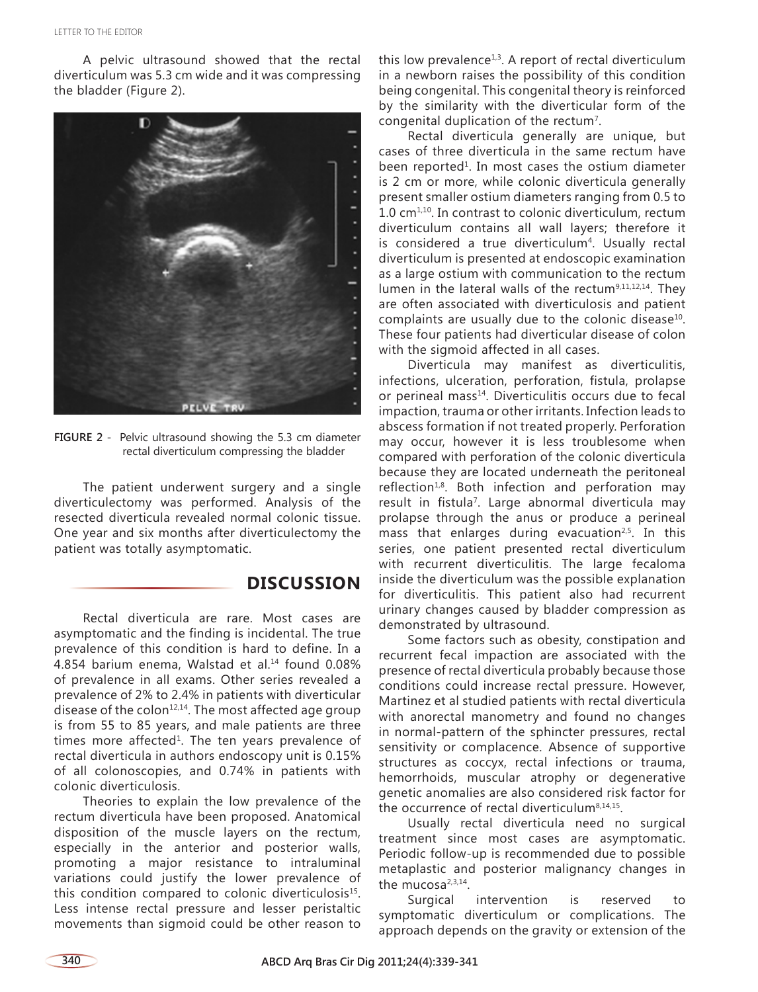A pelvic ultrasound showed that the rectal diverticulum was 5.3 cm wide and it was compressing the bladder (Figure 2).



**FIGURE 2** - Pelvic ultrasound showing the 5.3 cm diameter rectal diverticulum compressing the bladder

The patient underwent surgery and a single diverticulectomy was performed. Analysis of the resected diverticula revealed normal colonic tissue. One year and six months after diverticulectomy the patient was totally asymptomatic.

### **DISCUSSION**

Rectal diverticula are rare. Most cases are asymptomatic and the finding is incidental. The true prevalence of this condition is hard to define. In a 4.854 barium enema, Walstad et al.<sup>14</sup> found 0.08% of prevalence in all exams. Other series revealed a prevalence of 2% to 2.4% in patients with diverticular disease of the colon $12,14$ . The most affected age group is from 55 to 85 years, and male patients are three times more affected<sup>1</sup>. The ten years prevalence of rectal diverticula in authors endoscopy unit is 0.15% of all colonoscopies, and 0.74% in patients with colonic diverticulosis.

Theories to explain the low prevalence of the rectum diverticula have been proposed. Anatomical disposition of the muscle layers on the rectum, especially in the anterior and posterior walls, promoting a major resistance to intraluminal variations could justify the lower prevalence of this condition compared to colonic diverticulosis<sup>15</sup>. Less intense rectal pressure and lesser peristaltic movements than sigmoid could be other reason to this low prevalence<sup>1,3</sup>. A report of rectal diverticulum in a newborn raises the possibility of this condition being congenital. This congenital theory is reinforced by the similarity with the diverticular form of the congenital duplication of the rectum<sup>7</sup>.

Rectal diverticula generally are unique, but cases of three diverticula in the same rectum have been reported<sup>1</sup>. In most cases the ostium diameter is 2 cm or more, while colonic diverticula generally present smaller ostium diameters ranging from 0.5 to  $1.0 \text{ cm}^{1,10}$ . In contrast to colonic diverticulum, rectum diverticulum contains all wall layers; therefore it is considered a true diverticulum<sup>4</sup>. Usually rectal diverticulum is presented at endoscopic examination as a large ostium with communication to the rectum lumen in the lateral walls of the rectum<sup>9,11,12,14</sup>. They are often associated with diverticulosis and patient complaints are usually due to the colonic disease<sup>10</sup>. These four patients had diverticular disease of colon with the sigmoid affected in all cases.

Diverticula may manifest as diverticulitis, infections, ulceration, perforation, fistula, prolapse or perineal mass<sup>14</sup>. Diverticulitis occurs due to fecal impaction, trauma or other irritants. Infection leads to abscess formation if not treated properly. Perforation may occur, however it is less troublesome when compared with perforation of the colonic diverticula because they are located underneath the peritoneal reflection $1,8$ . Both infection and perforation may result in fistula<sup>7</sup>. Large abnormal diverticula may prolapse through the anus or produce a perineal mass that enlarges during evacuation<sup>2,5</sup>. In this series, one patient presented rectal diverticulum with recurrent diverticulitis. The large fecaloma inside the diverticulum was the possible explanation for diverticulitis. This patient also had recurrent urinary changes caused by bladder compression as demonstrated by ultrasound.

Some factors such as obesity, constipation and recurrent fecal impaction are associated with the presence of rectal diverticula probably because those conditions could increase rectal pressure. However, Martinez et al studied patients with rectal diverticula with anorectal manometry and found no changes in normal-pattern of the sphincter pressures, rectal sensitivity or complacence. Absence of supportive structures as coccyx, rectal infections or trauma, hemorrhoids, muscular atrophy or degenerative genetic anomalies are also considered risk factor for the occurrence of rectal diverticulum<sup>8,14,15</sup>.

Usually rectal diverticula need no surgical treatment since most cases are asymptomatic. Periodic follow-up is recommended due to possible metaplastic and posterior malignancy changes in the mucosa<sup>2,3,14</sup>.

Surgical intervention is reserved to symptomatic diverticulum or complications. The approach depends on the gravity or extension of the